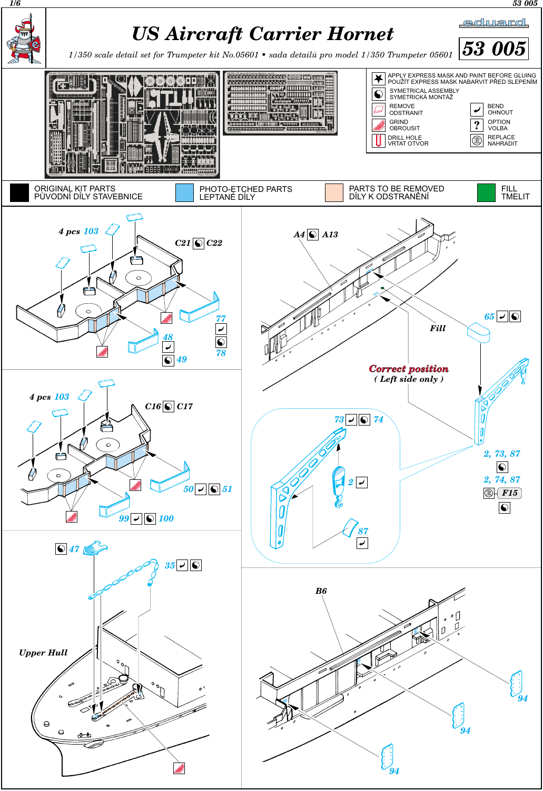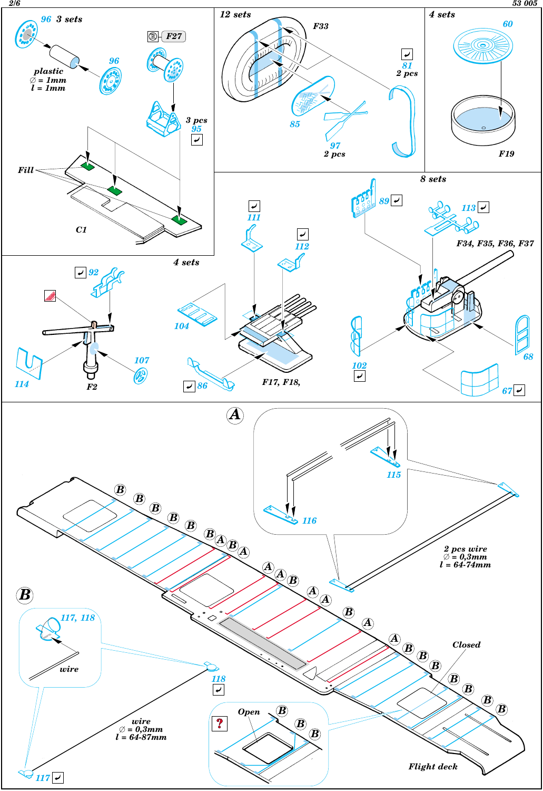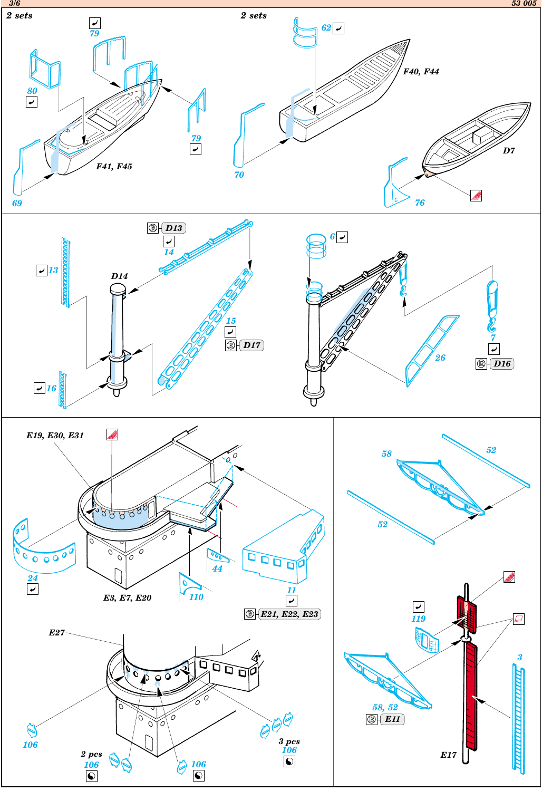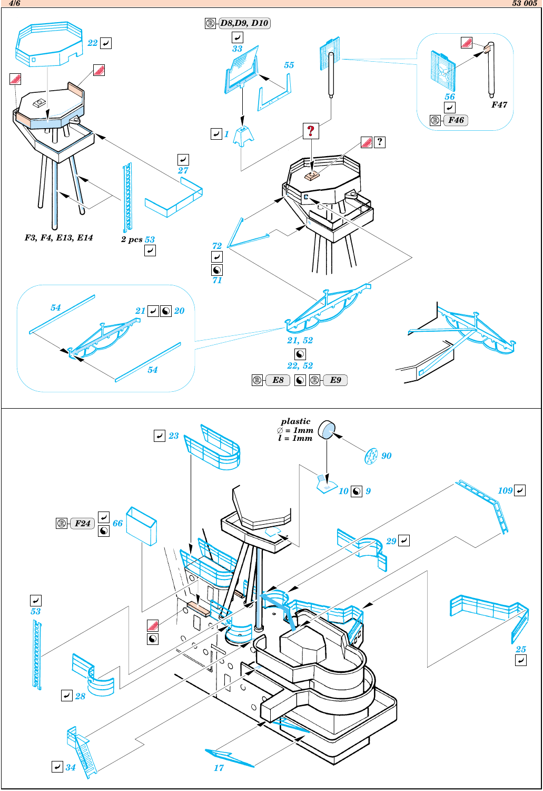*4/6 53 005*



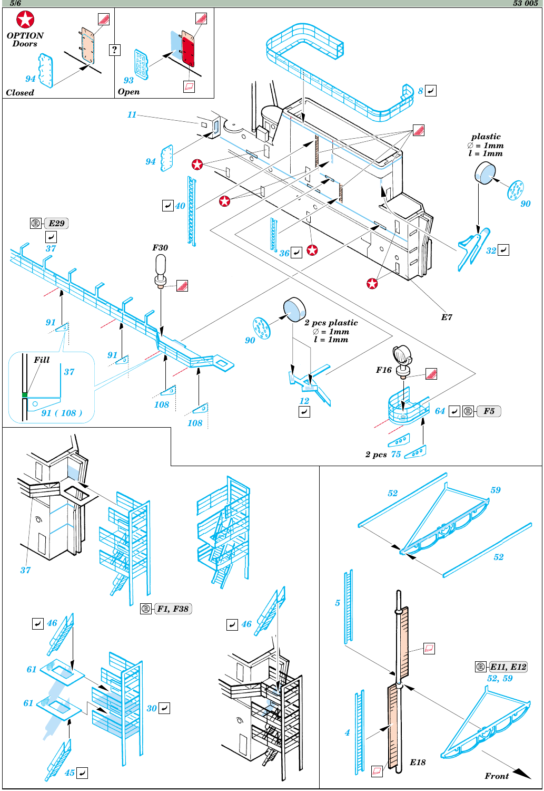